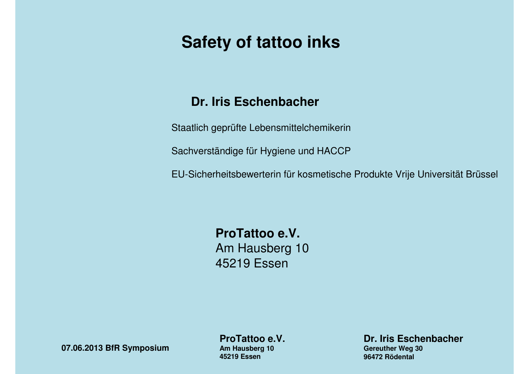# **Safety of tattoo inks**

# **Dr. Iris Eschenbacher**

Staatlich geprüfte Lebensmittelchemikerin

Sachverständige für Hygiene und HACCP

EU-Sicherheitsbewerterin für kosmetische Produkte Vrije Universität Brüssel

**ProTattoo e.V.**Am Hausberg 1045219 Essen

**07.06.2013 BfR Symposium**

**ProTattoo e.V.Am Hausberg 1045219 Essen**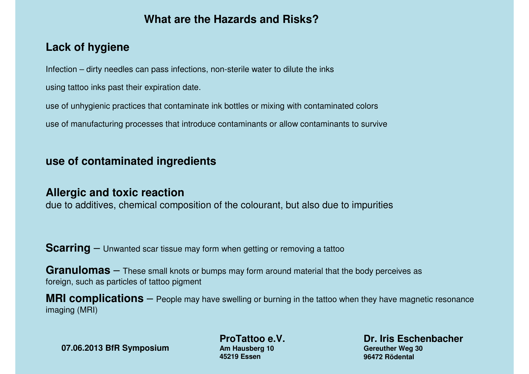### **What are the Hazards and Risks?**

#### **Lack of hygiene**

Infection – dirty needles can pass infections, non-sterile water to dilute the inks

using tattoo inks past their expiration date.

use of unhygienic practices that contaminate ink bottles or mixing with contaminated colors

use of manufacturing processes that introduce contaminants or allow contaminants to survive

#### **use of contaminated ingredients**

#### **Allergic and toxic reaction**

due to additives, chemical composition of the colourant, but also due to impurities

**Scarring** – Unwanted scar tissue may form when getting or removing a tattoo

**Granulomas** – These small knots or bumps may form around material that the body perceives as foreign, such as particles of tattoo pigment

**MRI complications** – People may have swelling or burning in the tattoo when they have magnetic resonance imaging (MRI)

**07.06.2013 BfR Symposium**

**ProTattoo e.V.Am Hausberg 1045219 Essen**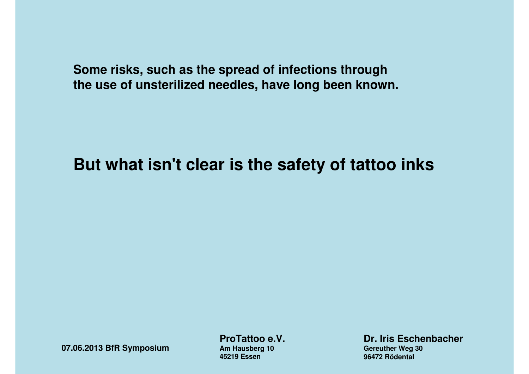**Some risks, such as the spread of infections through the use of unsterilized needles, have long been known.** 

# **But what isn't clear is the safety of tattoo inks**

**07.06.2013 BfR Symposium**

**ProTattoo e.V.Am Hausberg 1045219 Essen**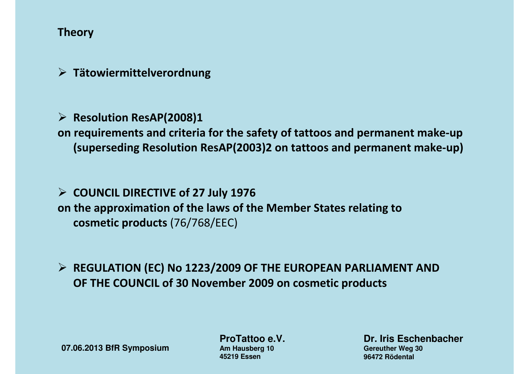#### Theory

Tätowiermittelverordnung

**Example 18 Resolution ResAP(2008)1** 

on requirements and criteria for the safety of tattoos and permanent make-up (superseding Resolution ResAP(2003)2 on tattoos and permanent make-up)

S COUNCIL DIRECTIVE of 27 July 1976 on the approximation of the laws of the Member States relating to cosmetic products (76/768/EEC)

 $\triangleright$  REGULATION (EC) No 1223/2009 OF THE EUROPEAN PARLIAMENT AND OF THE COUNCIL of 30 November 2009 on cosmetic products

**07.06.2013 BfR Symposium**

**ProTattoo e.V.Am Hausberg 1045219 Essen**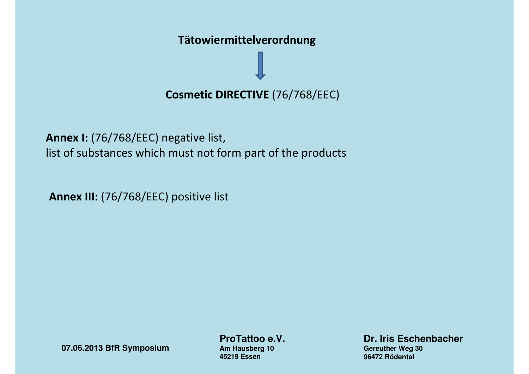Tätowiermittelverordnung

Cosmetic DIRECTIVE (76/768/EEC)

Annex I: (76/768/EEC) negative list,list of substances which must not form part of the products

Annex III: (76/768/EEC) positive list

**07.06.2013 BfR Symposium**

**ProTattoo e.V.Am Hausberg 1045219 Essen**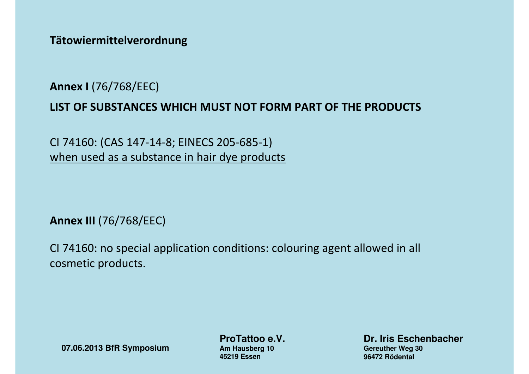Tätowiermittelverordnung

Annex I (76/768/EEC)

#### LIST OF SUBSTANCES WHICH MUST NOT FORM PART OF THE PRODUCTS

CI 74160: (CAS 147-14-8; EINECS 205-685-1) when used as a substance in hair dye products

Annex III (76/768/EEC)

CI 74160: no special application conditions: colouring agent allowed in all cosmetic products.

**07.06.2013 BfR Symposium**

**ProTattoo e.V.Am Hausberg 1045219 Essen**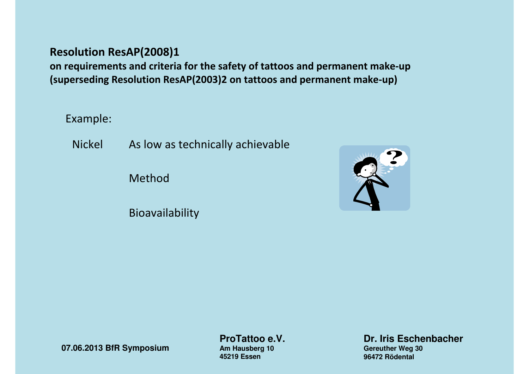## Resolution ResAP(2008)1

 on requirements and criteria for the safety of tattoos and permanent make-up (superseding Resolution ResAP(2003)2 on tattoos and permanent make-up)

### Example:

Nickel As low as technically achievable

Method

Bioavailability



**07.06.2013 BfR Symposium**

**ProTattoo e.V.Am Hausberg 1045219 Essen**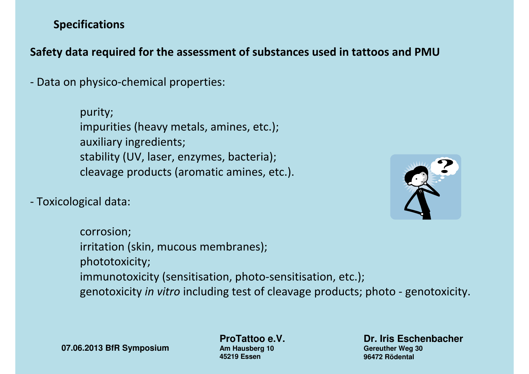## Specifications

## Safety data required for the assessment of substances used in tattoos and PMU

- Data on physico-chemical properties:

purity;impurities (heavy metals, amines, etc.);auxiliary ingredients;stability (UV, laser, enzymes, bacteria);cleavage products (aromatic amines, etc.).

- Toxicological data:



corrosion; irritation (skin, mucous membranes);phototoxicity;immunotoxicity (sensitisation, photo-sensitisation, etc.);genotoxicity *in vitro* including test of cleavage products; photo - genotoxicity.

**07.06.2013 BfR Symposium**

**ProTattoo e.V.Am Hausberg 1045219 Essen**

**Dr. Iris EschenbacherGereuther Weg 30**

**96472 Rödental**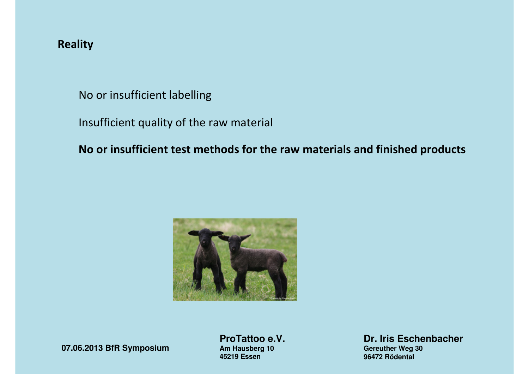## Reality

No or insufficient labelling

Insufficient quality of the raw material

No or insufficient test methods for the raw materials and finished products



**07.06.2013 BfR Symposium**

**ProTattoo e.V.Am Hausberg 1045219 Essen**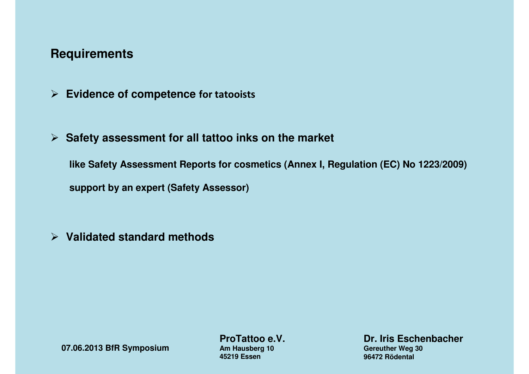## **Requirements**

- **Evidence of competence** for tatooists
- **Safety assessment for all tattoo inks on the market**

**like Safety Assessment Reports for cosmetics (Annex I, Regulation (EC) No 1223/2009)support by an expert (Safety Assessor)** 

**Validated standard methods** 

**07.06.2013 BfR Symposium**

**ProTattoo e.V.Am Hausberg 1045219 Essen**